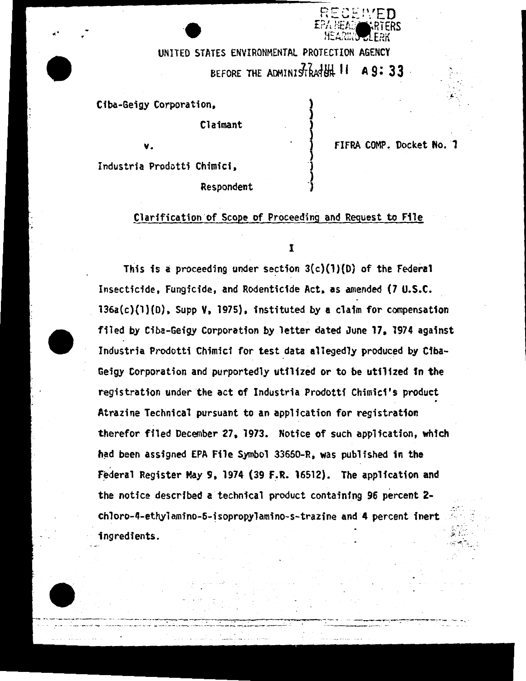UNITED STATES ENVIRONMENTAL PROTECTION AGENCY BEFORE THE ADMINISTRATH<sub>4</sub> 11 **A 9: 33** 

> ) )

') ) <sup>1</sup>

Ciba-Geigy Corporation,

Claimant

v.  $\qquad \qquad \qquad$ 

FIFRA COMP. Docket No. 7

' :- . - .

...

or<br>Recented

**F**PA HEAD **CARTERS**<br>HEARING 1 FRK 'HEARIK'S JLERK

Industria Prodotti Chimici,

Respondent

## Clarification·of Scope of Proceeding and Request to File

I

This is a proceeding under section  $3(c)(1)(D)$  of the Federal Insecticide, Fungicide, and Rodenticide Act, as amended (7 U.S.C. 136a(c)(l)(D), Supp V, 1975), instituted by a claim for compensation filed by Ciba-Geigy Corporation by letter dated June 17, 1974 against Industria Prodotti Chimici for test data allegedly produced by Ciba-Geigy Corporation and purportedly utilized or to be utilized in the registration under the act of Industria Prodotti Chimici's product Atrazine Technical pursuant to an application for registration therefor filed December 27, 1973. Notice of such application, which had been assigned EPA File Symbol 33660-R, was published in the Federal Register May 9, 1974 (39 F.R. 16512). The application and the notice described a technical product containing 96 percent 2 chloro-4-ethylamino-6-isopropylamino-s-trazine and 4 percent inert .; .., -: . *:,..: .* . : ...  $ingredients.$ . *:\_ ..* :: <sup>~</sup>*.. - -*

---,--....,..-~~--~-------- -- -· ---.....-:--. . -~-,-- - -.. · *·---- ----..:* ----- -- .. ---·-- ·- -- ~--~· -- -- ;,.\_ .. --- -~ --: --- .: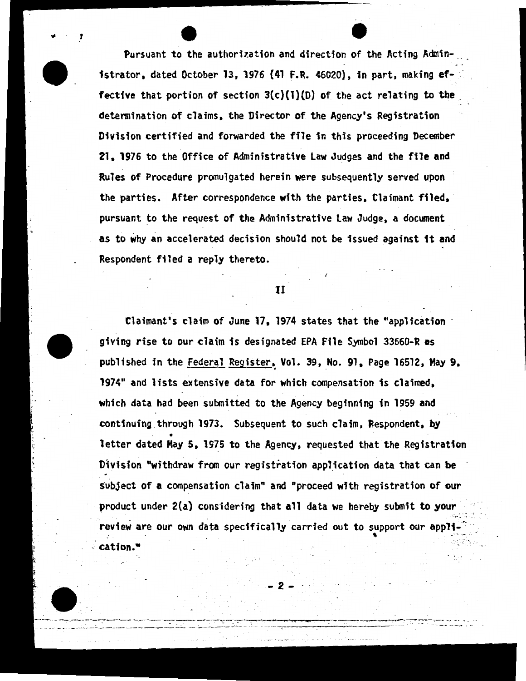Pursuant to the authorization and direction of the Acting Administrator. dated October 13. 1976 (41 F.R. 46020). in part. making ef- ~ fective that portion of section  $3(c)(1)(D)$  of the act relating to the determination of claims, the Director of the Agency's Registration Division certified and forwarded the file in this proceeding December 21. 1976 to the Office of Administrative Law Judges and the file and Rules of Procedure promulgated herein were subsequently served upon the parties. After correspondence with the parties, Claimant filed. pursuant to the request of the Administrative Law Judge, a document as to why an accelerated decision should not be issued against it and Respondent filed a reply thereto.

.. e

f

II

Claimant's claim of June 17, 1974 states that the "application giving rise to our claim fs designated EPA File Symbol 33660-R as published in the Federal Register, Vol. 39, No. 91, Page 16512, May 9, 1974" and lists extensive data for which compensation is claimed. which data had been submitted to the Agency beginning in 1959 and continuing through 1973. Subsequent to such claim. Respondent, by • letter dated May s. 1975 to the Agency. requested that the Registration Division "withdraw from our registration application data that can be subject of a compensation claim" and "proceed with registration of our product under  $2(a)$  considering that all data we hereby submit to your . .  $c_{\rm m}=2$ review are our own data specifically carried out to support our appli-. , cation.•

~2-

·- . .....,., \_\_\_\_\_\_\_\_\_ -- ---. --------. ~-~.\_...,.,------.,.,.\_\_,---

-- -- --"" -- ---:..~.-· \_\_\_\_ .:.. \_\_\_\_\_\_ *\_\_\_\_\_* ~ *\_\_ ..:.\_ .:\_\_* ---- ~------ *\_-\_: \_\_\_* - . .:-\_\_ \_: -------·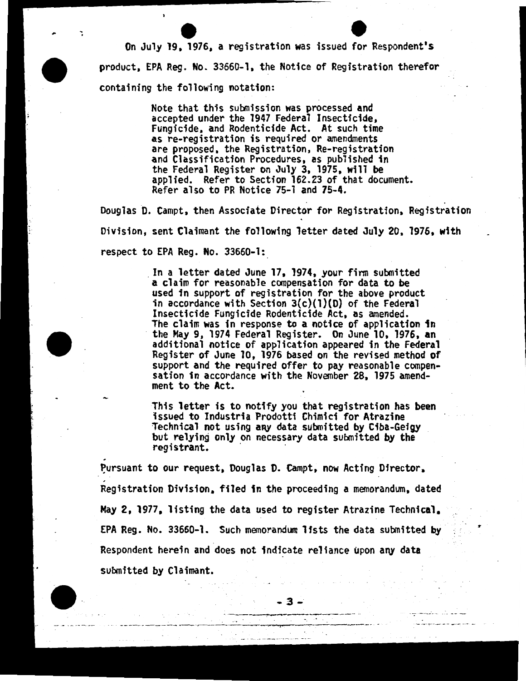On July 19, 1976, a registration was issued for Respondent's product, EPA Reg. No. 33660-1, the Notice of Registration therefor containing the following notation:

> Note that this submission was processed and accepted under the 1947 Federal Insecticide, Fungicide, and Rodenticide Act. At such time as re-registration is required or amendments<br>are proposed, the Registration, Re-registration and Classification Procedures, as published in the Federal Register on July 3, 1975, will be applied. Refer to Section 162.23 of that document. Refer also to PR Notice 75-1 and 75-4.

Douglas D. Campt, then Associate Director for Registration, Registration Division, sent Claimant the following letter dated July 20, 1976, with respect to EPA Reg. No. 33660-1:

> . In a letter dated June 17, 1974, your finn submitted a claim for reasonable compensation for data to be used in support of registration for the above product in accordance with Section  $3(c)(1)(D)$  of the Federal Insecticide Fungicide Rodenticide Act, as amended. The claim was in response to a notice of application in the May 9, 1974 Federal Register. On June 10, 1976, an additional notice of application appeared in the Federal Register of June 10, 1976 based on the revised method of support and the required offer to pay reasonable compen- sation in accordance with the November 28, 1975 amendment to the Act.

This letter is to notify you that registration has been issued to Industria Prodotti Chimici for Atrazine<br>Technical not using any data submitted by Ciba-Geigy but relying only on necessary data submitted by the registrant.

Pursuant to our request, Douglas D. Campt, now Acting Director, Registration Division, filed in the proceeding a memorandum, dated May 2, 1977, listing the data used to register Atrazine Technical, EPA Reg. No. 33660-1. Such memorandum lists the data submitted by Respondent herein and does not indicate reliance upon any data submitted by Claimant.

> $-3 -3-$

..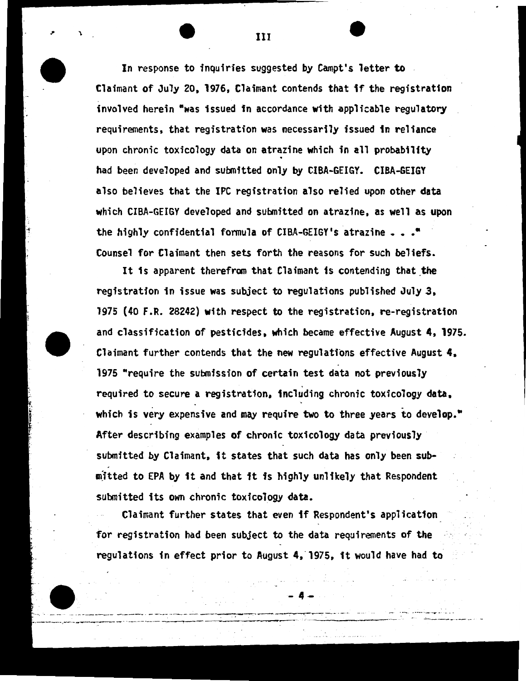In response to inquiries suggested by Campt's letter to Claimant of July 20, 1976, Claimant contends that if the registratfon involved herein "was issued in accordance with applicable regulatory requirements, that registration was necessarily issued in reliance upon chronic toxicology data on atrazine which in all probability . had been developed and submitted only by CIBA-GEIGY. CIBA-GEIGY also believes that the IPC registration also relied upon other data which CIBA-GEIGY developed and submitted on atrazine, as well as upon the highly confidential formula of CIBA-GEIGY's atrazine  $\ldots$ . Counsel for Claimant then sets forth the reasons for such beliefs.

111

It is apparent therefrom that Claimant is contending that the registration in issue was subject to regulations published July 3, 1975 (40 F.R. 28242) with respect to the registration, re-registration and classification of pesticides, which became effective August 4, 1975. Claimant further contends that the new regulations effective August 4, 1975 "require the submission of certain test data not previously required to secure a registration, including chronic toxicology data, which is very expensive and may require two to three years to develop. $"$ After describing examples of chronic toxicology data previously · submitted by Claimant, it states that such data has only been subm)tted to EPA by 1t and that it is highly unlikely that Respondent submitted its own chronic toxicology data.

Claimant further states that even if Respondent's application for registration had been subject to the data requirements of the regulations in effect prior to August 4, 1975, it would have had to

 $- 4 - 4$ 

*. --=* -· ----·-- -·· , . -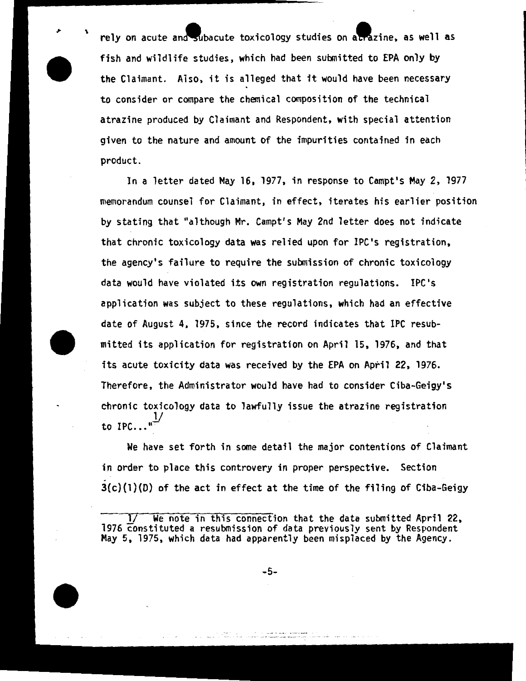rely on acute and subacute toxicology studies on atrazine, as well as fish and wildlife studies, which had been submitted to EPA only by the Claimant. Also, it is alleged that it would have been necessary to consider or compare the chemical composition of the technical atrazine produced by Claimant and Respondent, with special attention given to the nature and amount of the impurities contained in each product.

In a letter dated May 16, 1977, in response to Campt's May 2, 1977 memorandum counsel for Claimant, in effect, iterates his earlier position by stating that "although Mr. Campt's May 2nd letter does not indicate that chronic toxicology data was relied upon for IPC's registration, the agency's failure to require the submission of chronic toxicology data would have violated its own registration regulations. IPC's application was subject to these regulations, which had an effective date of August 4, 1975, since the record indicates that IPC resubmitted its application for registration on April 15, 1976, and that its acute toxicity data was received by the EPA on April 22, 1976. Therefore, the Administrator would have had to consider Ciba-Geigy's chronic toxicology data to lawfully issue the atrazine registration 1/ to  $IPC...$ "

We have set forth in some detail the major contentions of Claimant in order to place this controvery in proper perspective. Section  $3(c)(1)(D)$  of the act in effect at the time of the filing of Ciba-Geigy

We note in this connection that the data submitted April 22, 1976 constituted a resubmission of data previously sent by Respondent May 5, 1975, which data had apparently been misplaced by the Agency.

-5-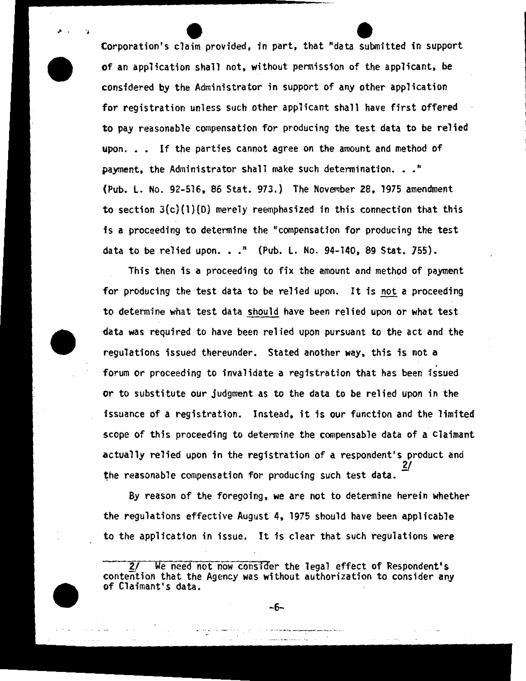Corporation's claim provided, in part, that "data submitted in support of an application shall not, without permission of the applicant, be considered by the Administrator in support of any other application for registration unless such other applicant shall have first offered to pay reasonable compensation for producing the test data to be relied upon. . . If the parties cannot agree on the amount and method of payment, the Administrator shall make such determination. . ." (Pub. l. No. 92-516, 86 Stat. 973.) The November 28, 1975 amendment to section  $3(c)(1)(D)$  merely reemphasized in this connection that this is a proceeding to determine the "compensation for producing the test data to be relied upon. . ." (Pub. L. No. 94-140, 89 Stat. 755).

> . .•

This then is a proceeding to fix the amount and method of payment for producing the test data to be relied upon. It is not a proceeding to determine what test data should have been relied upon or what test data was required to have been relied upon pursuant to the act and the regulations issued thereunder. Stated another way, this is not a . forum or proceeding to invalidate a registration that has been issued or to substitute our judgment as to the data to be relied upon in the issuance of a registration. Instead, it is our function and the limited scope of this proceeding to determine the compensable data of a claimant actually relied upon in the registration of a respondent's product and  $\mathcal{L}$ the reasonable compensation for producing such test data.

By reason of the foregoing, we are not to determine herein whether the regulations effective August 4, 1975 should have been applicable to the application in issue. It is clear that such regulations were

-6-

<sup>2/</sup> We need not now consider the legal effect of Respondent's contention that the Agency was without authorization to consider any of Claimant's data.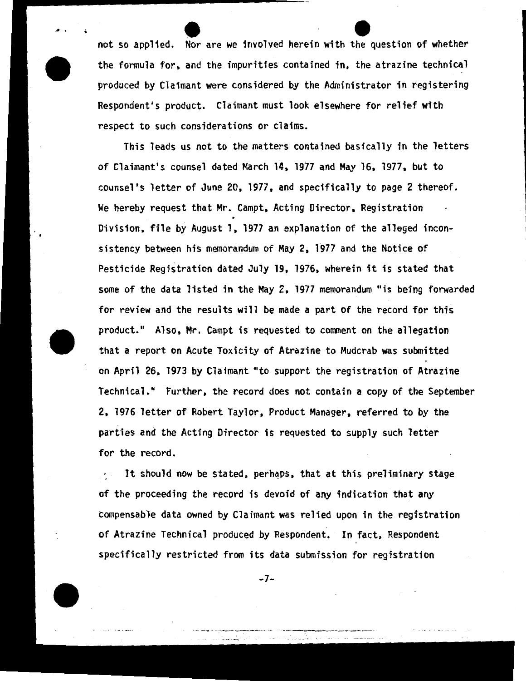not so applied. Nor are we involved herein with the question of whether the formula for, and the impurities contained in, the atrazine technical produced by Claimant were considered by the Administrator in registering Respondent's product. Claimant must look elsewhere for relief with respect to such considerations or claims.

~ f .•

This leads us not to the matters contained basically in the letters of Claimant's counsel dated March 14, 1977 and May 16, 1977, but to counsel's letter of June 20, 1977, and specifically to page 2 thereof. We hereby request that Mr. Campt, Acting Director, Registration Division, file by August 1, 1977 an explanation of the alleged inconsistency between his memorandum of May 2, 1977 and the Notice of Pesticide Registration dated July 19, 1976, wherein it is stated that some of the data listed in the May 2, 1977 memorandum "is being forwarded for review and the results will be made a part of the record for this product." Also, Mr. Campt is requested to comment on the allegation that a report on Acute Toxicity of Atrazine to Mudcrab was submitted on April 26, 1973 by Claimant "to support the registration of Atrazine Technical." Further, the record does not contain a copy of the September 2, 1976 letter of Robert Taylor, Product Manager, referred to by the parties and the Acting Director is requested <mark>t</mark>o supply such letter for the record.

It should now be stated, perhaps, that at this preliminary stage  $\mathcal{F}(\mathcal{A})$  . of the proceeding the record is devoid of any indication that any compensable data owned by Claimant was relied upon in the registration of Atrazine Technical produced by Respondent. In fact, Respondent specifically restricted from its data submission for registration

-7-